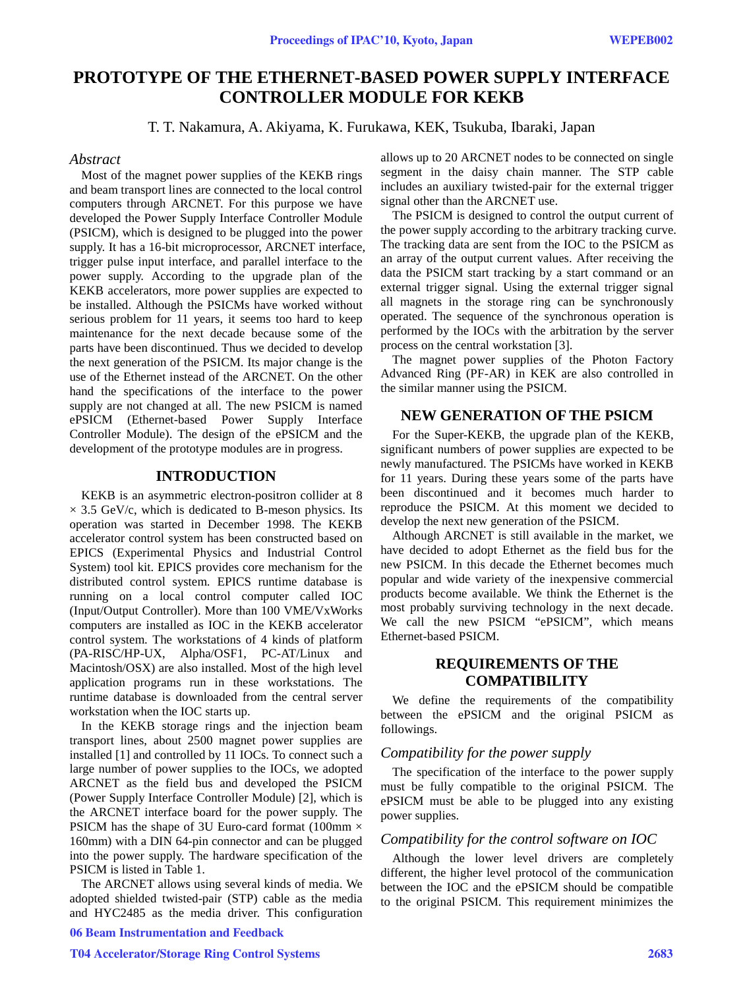# **PROTOTYPE OF THE ETHERNET-BASED POWER SUPPLY INTERFACE CONTROLLER MODULE FOR KEKB**

T. T. Nakamura, A. Akiyama, K. Furukawa, KEK, Tsukuba, Ibaraki, Japan

#### *Abstract*

Most of the magnet power supplies of the KEKB rings and beam transport lines are connected to the local control computers through ARCNET. For this purpose we have developed the Power Supply Interface Controller Module (PSICM), which is designed to be plugged into the power supply. It has a 16-bit microprocessor, ARCNET interface, trigger pulse input interface, and parallel interface to the power supply. According to the upgrade plan of the KEKB accelerators, more power supplies are expected to be installed. Although the PSICMs have worked without serious problem for 11 years, it seems too hard to keep maintenance for the next decade because some of the parts have been discontinued. Thus we decided to develop the next generation of the PSICM. Its major change is the use of the Ethernet instead of the ARCNET. On the other hand the specifications of the interface to the power supply are not changed at all. The new PSICM is named ePSICM (Ethernet-based Power Supply Interface Controller Module). The design of the ePSICM and the development of the prototype modules are in progress.

#### **INTRODUCTION**

KEKB is an asymmetric electron-positron collider at 8  $\times$  3.5 GeV/c, which is dedicated to B-meson physics. Its operation was started in December 1998. The KEKB accelerator control system has been constructed based on EPICS (Experimental Physics and Industrial Control System) tool kit. EPICS provides core mechanism for the distributed control system. EPICS runtime database is running on a local control computer called IOC (Input/Output Controller). More than 100 VME/VxWorks computers are installed as IOC in the KEKB accelerator control system. The workstations of 4 kinds of platform (PA-RISC/HP-UX, Alpha/OSF1, PC-AT/Linux and Macintosh/OSX) are also installed. Most of the high level application programs run in these workstations. The runtime database is downloaded from the central server workstation when the IOC starts up.

In the KEKB storage rings and the injection beam transport lines, about 2500 magnet power supplies are installed [1] and controlled by 11 IOCs. To connect such a large number of power supplies to the IOCs, we adopted ARCNET as the field bus and developed the PSICM (Power Supply Interface Controller Module) [2], which is the ARCNET interface board for the power supply. The PSICM has the shape of 3U Euro-card format (100mm  $\times$ 160mm) with a DIN 64-pin connector and can be plugged into the power supply. The hardware specification of the PSICM is listed in Table 1.

The ARCNET allows using several kinds of media. We adopted shielded twisted-pair (STP) cable as the media and HYC2485 as the media driver. This configuration 06 Beam Instrumentation and Feedback

#### allows up to 20 ARCNET nodes to be connected on single segment in the daisy chain manner. The STP cable includes an auxiliary twisted-pair for the external trigger signal other than the ARCNET use.

The PSICM is designed to control the output current of the power supply according to the arbitrary tracking curve. The tracking data are sent from the IOC to the PSICM as an array of the output current values. After receiving the data the PSICM start tracking by a start command or an external trigger signal. Using the external trigger signal all magnets in the storage ring can be synchronously operated. The sequence of the synchronous operation is performed by the IOCs with the arbitration by the server process on the central workstation [3].

The magnet power supplies of the Photon Factory Advanced Ring (PF-AR) in KEK are also controlled in the similar manner using the PSICM.

### **NEW GENERATION OF THE PSICM**

For the Super-KEKB, the upgrade plan of the KEKB, significant numbers of power supplies are expected to be newly manufactured. The PSICMs have worked in KEKB for 11 years. During these years some of the parts have been discontinued and it becomes much harder to reproduce the PSICM. At this moment we decided to develop the next new generation of the PSICM.

Although ARCNET is still available in the market, we have decided to adopt Ethernet as the field bus for the new PSICM. In this decade the Ethernet becomes much popular and wide variety of the inexpensive commercial products become available. We think the Ethernet is the most probably surviving technology in the next decade. We call the new PSICM "ePSICM", which means Ethernet-based PSICM.

# **REQUIREMENTS OF THE COMPATIBILITY**

We define the requirements of the compatibility between the ePSICM and the original PSICM as followings.

#### *Compatibility for the power supply*

The specification of the interface to the power supply must be fully compatible to the original PSICM. The ePSICM must be able to be plugged into any existing power supplies.

#### *Compatibility for the control software on IOC*

Although the lower level drivers are completely different, the higher level protocol of the communication between the IOC and the ePSICM should be compatible to the original PSICM. This requirement minimizes the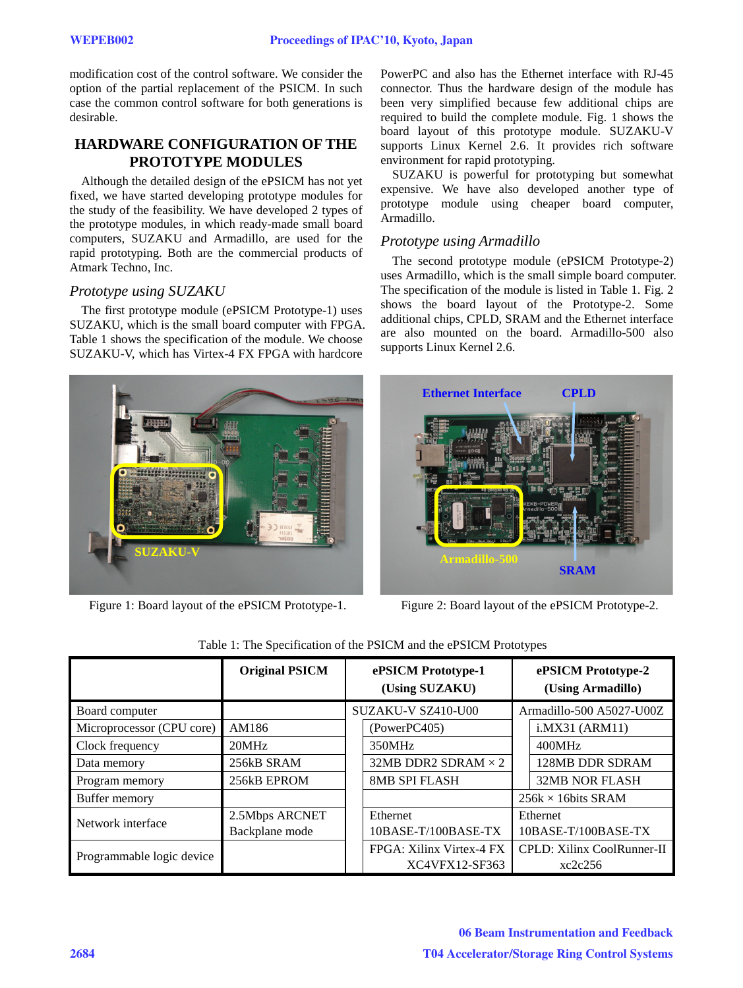modification cost of the control software. We consider the option of the partial replacement of the PSICM. In such case the common control software for both generations is desirable.

# **HARDWARE CONFIGURATION OF THE PROTOTYPE MODULES**

Although the detailed design of the ePSICM has not yet fixed, we have started developing prototype modules for the study of the feasibility. We have developed 2 types of the prototype modules, in which ready-made small board computers, SUZAKU and Armadillo, are used for the rapid prototyping. Both are the commercial products of Atmark Techno, Inc.

# *Prototype using SUZAKU*

The first prototype module (ePSICM Prototype-1) uses SUZAKU, which is the small board computer with FPGA. Table 1 shows the specification of the module. We choose SUZAKU-V, which has Virtex-4 FX FPGA with hardcore



Figure 1: Board layout of the ePSICM Prototype-1. Figure 2: Board layout of the ePSICM Prototype-2.

PowerPC and also has the Ethernet interface with RJ-45 connector. Thus the hardware design of the module has been very simplified because few additional chips are required to build the complete module. Fig. 1 shows the board layout of this prototype module. SUZAKU-V supports Linux Kernel 2.6. It provides rich software environment for rapid prototyping.

SUZAKU is powerful for prototyping but somewhat expensive. We have also developed another type of prototype module using cheaper board computer, Armadillo.

### *Prototype using Armadillo*

The second prototype module (ePSICM Prototype-2) uses Armadillo, which is the small simple board computer. The specification of the module is listed in Table 1. Fig. 2 shows the board layout of the Prototype-2. Some additional chips, CPLD, SRAM and the Ethernet interface are also mounted on the board. Armadillo-500 also supports Linux Kernel 2.6.



|                           | <b>Original PSICM</b> | ePSICM Prototype-1<br>(Using SUZAKU) |                            | ePSICM Prototype-2<br>(Using Armadillo) |                            |
|---------------------------|-----------------------|--------------------------------------|----------------------------|-----------------------------------------|----------------------------|
| Board computer            |                       |                                      | SUZAKU-V SZ410-U00         |                                         | Armadillo-500 A5027-U00Z   |
| Microprocessor (CPU core) | AM186                 |                                      | (Power PC405)              |                                         | i.MX31 (ARM11)             |
| Clock frequency           | 20MHz                 |                                      | 350MHz                     |                                         | 400MHz                     |
| Data memory               | 256kB SRAM            |                                      | 32MB DDR2 SDRAM $\times$ 2 |                                         | 128MB DDR SDRAM            |
| Program memory            | 256kB EPROM           |                                      | <b>8MB SPI FLASH</b>       |                                         | <b>32MB NOR FLASH</b>      |
| Buffer memory             |                       |                                      |                            | $256k \times 16bits$ SRAM               |                            |
| Network interface         | 2.5Mbps ARCNET        |                                      | Ethernet                   | Ethernet                                |                            |
|                           | Backplane mode        |                                      | 10BASE-T/100BASE-TX        |                                         | 10BASE-T/100BASE-TX        |
| Programmable logic device |                       |                                      | FPGA: Xilinx Virtex-4 FX   |                                         | CPLD: Xilinx CoolRunner-II |
|                           |                       |                                      | XC4VFX12-SF363             |                                         | xc2c256                    |

Table 1: The Specification of the PSICM and the ePSICM Prototypes